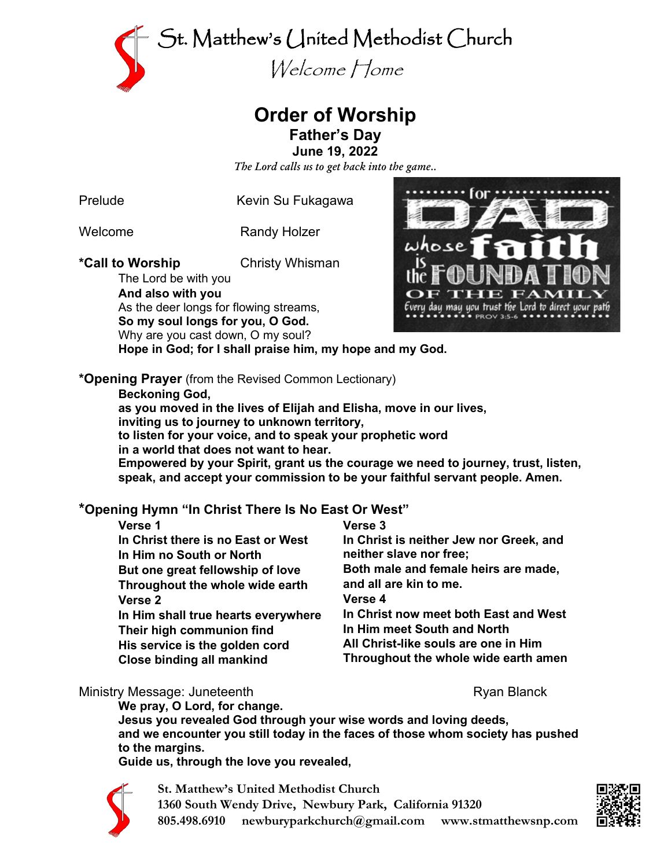

## **Order of Worship Father's Day**

**June 19, 2022**

*The Lord calls us to get back into the game..*

Prelude Kevin Su Fukagawa

Welcome Randy Holzer

**\*Call to Worship** Christy Whisman

The Lord be with you **And also with you** As the deer longs for flowing streams, **So my soul longs for you, O God.** Why are you cast down, O my soul? **Hope in God; for I shall praise him, my hope and my God.**



**\*Opening Prayer** (from the Revised Common Lectionary)

**Beckoning God,**

**as you moved in the lives of Elijah and Elisha, move in our lives,**

**inviting us to journey to unknown territory,**

**to listen for your voice, and to speak your prophetic word**

**in a world that does not want to hear.**

**Empowered by your Spirit, grant us the courage we need to journey, trust, listen, speak, and accept your commission to be your faithful servant people. Amen.**

#### **\*Opening Hymn "In Christ There Is No East Or West" Verse 3**

| Vers <sup>,</sup> |  |
|-------------------|--|
|-------------------|--|

| VEISE I                             | <b>VEISE</b> J                          |
|-------------------------------------|-----------------------------------------|
| In Christ there is no East or West  | In Christ is neither Jew nor Greek, and |
| In Him no South or North            | neither slave nor free;                 |
| But one great fellowship of love    | Both male and female heirs are made,    |
| Throughout the whole wide earth     | and all are kin to me.                  |
| Verse <sub>2</sub>                  | Verse 4                                 |
| In Him shall true hearts everywhere | In Christ now meet both East and West   |
| Their high communion find           | In Him meet South and North             |
| His service is the golden cord      | All Christ-like souls are one in Him    |
| <b>Close binding all mankind</b>    | Throughout the whole wide earth amen    |
|                                     |                                         |

#### Ministry Message: Juneteenth **Ryan Blanck** Ryan Blanck

**We pray, O Lord, for change.**

**Jesus you revealed God through your wise words and loving deeds, and we encounter you still today in the faces of those whom society has pushed to the margins.**

**Guide us, through the love you revealed,**



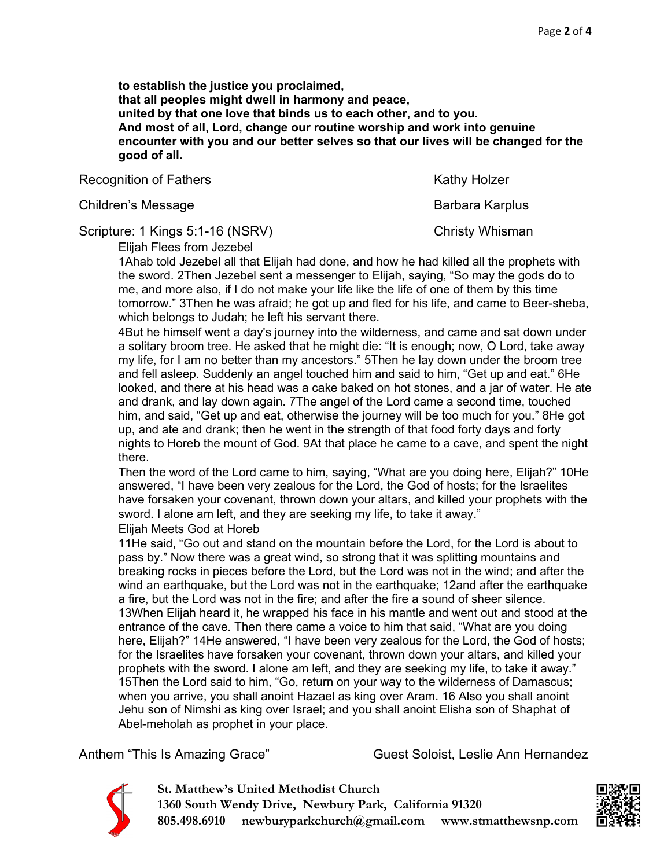**to establish the justice you proclaimed, that all peoples might dwell in harmony and peace, united by that one love that binds us to each other, and to you. And most of all, Lord, change our routine worship and work into genuine encounter with you and our better selves so that our lives will be changed for the good of all.**

Recognition of Fathers **Kathy Holzer** Kathy Holzer

Children's Message **Barbara Karplus** Barbara Karplus

Scripture: 1 Kings 5:1-16 (NSRV) Christy Whisman

Elijah Flees from Jezebel

1Ahab told Jezebel all that Elijah had done, and how he had killed all the prophets with the sword. 2Then Jezebel sent a messenger to Elijah, saying, "So may the gods do to me, and more also, if I do not make your life like the life of one of them by this time tomorrow." 3Then he was afraid; he got up and fled for his life, and came to Beer-sheba, which belongs to Judah; he left his servant there.

4But he himself went a day's journey into the wilderness, and came and sat down under a solitary broom tree. He asked that he might die: "It is enough; now, O Lord, take away my life, for I am no better than my ancestors." 5Then he lay down under the broom tree and fell asleep. Suddenly an angel touched him and said to him, "Get up and eat." 6He looked, and there at his head was a cake baked on hot stones, and a jar of water. He ate and drank, and lay down again. 7The angel of the Lord came a second time, touched him, and said, "Get up and eat, otherwise the journey will be too much for you." 8He got up, and ate and drank; then he went in the strength of that food forty days and forty nights to Horeb the mount of God. 9At that place he came to a cave, and spent the night there.

Then the word of the Lord came to him, saying, "What are you doing here, Elijah?" 10He answered, "I have been very zealous for the Lord, the God of hosts; for the Israelites have forsaken your covenant, thrown down your altars, and killed your prophets with the sword. I alone am left, and they are seeking my life, to take it away."

Elijah Meets God at Horeb

11He said, "Go out and stand on the mountain before the Lord, for the Lord is about to pass by." Now there was a great wind, so strong that it was splitting mountains and breaking rocks in pieces before the Lord, but the Lord was not in the wind; and after the wind an earthquake, but the Lord was not in the earthquake; 12and after the earthquake a fire, but the Lord was not in the fire; and after the fire a sound of sheer silence. 13When Elijah heard it, he wrapped his face in his mantle and went out and stood at the entrance of the cave. Then there came a voice to him that said, "What are you doing here, Elijah?" 14He answered, "I have been very zealous for the Lord, the God of hosts; for the Israelites have forsaken your covenant, thrown down your altars, and killed your prophets with the sword. I alone am left, and they are seeking my life, to take it away." 15Then the Lord said to him, "Go, return on your way to the wilderness of Damascus; when you arrive, you shall anoint Hazael as king over Aram. 16 Also you shall anoint Jehu son of Nimshi as king over Israel; and you shall anoint Elisha son of Shaphat of Abel-meholah as prophet in your place.

Anthem "This Is Amazing Grace" Guest Soloist, Leslie Ann Hernandez



**St. Matthew's United Methodist Church 1360 South Wendy Drive, Newbury Park, California 91320 805.498.6910 newburyparkchurch@gmail.com www.stmatthewsnp.com**

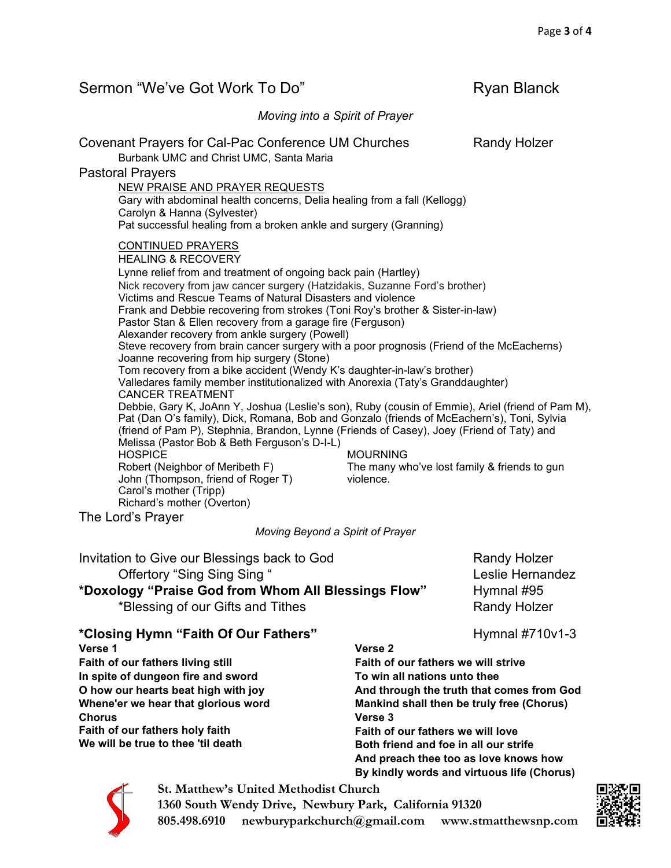| Sermon "We've Got Work To Do"                                                                                                                                                                                                                                                                                                                                                                                                                                                                                                                                                                                                                                                                                                                                                                                                                                                                                                                                                                                                                                                                                                                                                                                                                                                                                                                                                                                       | <b>Ryan Blanck</b>                                                           |  |
|---------------------------------------------------------------------------------------------------------------------------------------------------------------------------------------------------------------------------------------------------------------------------------------------------------------------------------------------------------------------------------------------------------------------------------------------------------------------------------------------------------------------------------------------------------------------------------------------------------------------------------------------------------------------------------------------------------------------------------------------------------------------------------------------------------------------------------------------------------------------------------------------------------------------------------------------------------------------------------------------------------------------------------------------------------------------------------------------------------------------------------------------------------------------------------------------------------------------------------------------------------------------------------------------------------------------------------------------------------------------------------------------------------------------|------------------------------------------------------------------------------|--|
| Moving into a Spirit of Prayer                                                                                                                                                                                                                                                                                                                                                                                                                                                                                                                                                                                                                                                                                                                                                                                                                                                                                                                                                                                                                                                                                                                                                                                                                                                                                                                                                                                      |                                                                              |  |
| Covenant Prayers for Cal-Pac Conference UM Churches<br>Burbank UMC and Christ UMC, Santa Maria<br><b>Pastoral Prayers</b><br><b>NEW PRAISE AND PRAYER REQUESTS</b><br>Gary with abdominal health concerns, Delia healing from a fall (Kellogg)<br>Carolyn & Hanna (Sylvester)<br>Pat successful healing from a broken ankle and surgery (Granning)                                                                                                                                                                                                                                                                                                                                                                                                                                                                                                                                                                                                                                                                                                                                                                                                                                                                                                                                                                                                                                                                  | <b>Randy Holzer</b>                                                          |  |
| <b>CONTINUED PRAYERS</b><br><b>HEALING &amp; RECOVERY</b><br>Lynne relief from and treatment of ongoing back pain (Hartley)<br>Nick recovery from jaw cancer surgery (Hatzidakis, Suzanne Ford's brother)<br>Victims and Rescue Teams of Natural Disasters and violence<br>Frank and Debbie recovering from strokes (Toni Roy's brother & Sister-in-law)<br>Pastor Stan & Ellen recovery from a garage fire (Ferguson)<br>Alexander recovery from ankle surgery (Powell)<br>Steve recovery from brain cancer surgery with a poor prognosis (Friend of the McEacherns)<br>Joanne recovering from hip surgery (Stone)<br>Tom recovery from a bike accident (Wendy K's daughter-in-law's brother)<br>Valledares family member institutionalized with Anorexia (Taty's Granddaughter)<br><b>CANCER TREATMENT</b><br>Debbie, Gary K, JoAnn Y, Joshua (Leslie's son), Ruby (cousin of Emmie), Ariel (friend of Pam M),<br>Pat (Dan O's family), Dick, Romana, Bob and Gonzalo (friends of McEachern's), Toni, Sylvia<br>(friend of Pam P), Stephnia, Brandon, Lynne (Friends of Casey), Joey (Friend of Taty) and<br>Melissa (Pastor Bob & Beth Ferguson's D-I-L)<br><b>HOSPICE</b><br><b>MOURNING</b><br>Robert (Neighbor of Meribeth F)<br>The many who've lost family & friends to gun<br>John (Thompson, friend of Roger T)<br>violence.<br>Carol's mother (Tripp)<br>Richard's mother (Overton)<br>The Lord's Prayer |                                                                              |  |
| Moving Beyond a Spirit of Prayer                                                                                                                                                                                                                                                                                                                                                                                                                                                                                                                                                                                                                                                                                                                                                                                                                                                                                                                                                                                                                                                                                                                                                                                                                                                                                                                                                                                    |                                                                              |  |
| Invitation to Give our Blessings back to God<br>Offertory "Sing Sing Sing "<br>*Doxology "Praise God from Whom All Blessings Flow"<br>*Blessing of our Gifts and Tithes                                                                                                                                                                                                                                                                                                                                                                                                                                                                                                                                                                                                                                                                                                                                                                                                                                                                                                                                                                                                                                                                                                                                                                                                                                             | <b>Randy Holzer</b><br>Leslie Hernandez<br>Hymnal #95<br><b>Randy Holzer</b> |  |
| *Closing Hymn "Eaith Of Our Eathors"                                                                                                                                                                                                                                                                                                                                                                                                                                                                                                                                                                                                                                                                                                                                                                                                                                                                                                                                                                                                                                                                                                                                                                                                                                                                                                                                                                                | $H_{V}$ mnol $H710v12$                                                       |  |

**\*Closing Hymn "Faith Of Our Fathers" Network and Hymnal #710v1-3** 

**Verse 1 Faith of our fathers living still In spite of dungeon fire and sword O how our hearts beat high with joy Whene'er we hear that glorious word Chorus Faith of our fathers holy faith We will be true to thee 'til death Verse 2 Faith of our fathers we will strive To win all nations unto thee And through the truth that comes from God Mankind shall then be truly free (Chorus) Verse 3 Faith of our fathers we will love Both friend and foe in all our strife And preach thee too as love knows how By kindly words and virtuous life (Chorus)**



**St. Matthew's United Methodist Church 1360 South Wendy Drive, Newbury Park, California 91320 805.498.6910 newburyparkchurch@gmail.com www.stmatthewsnp.com**